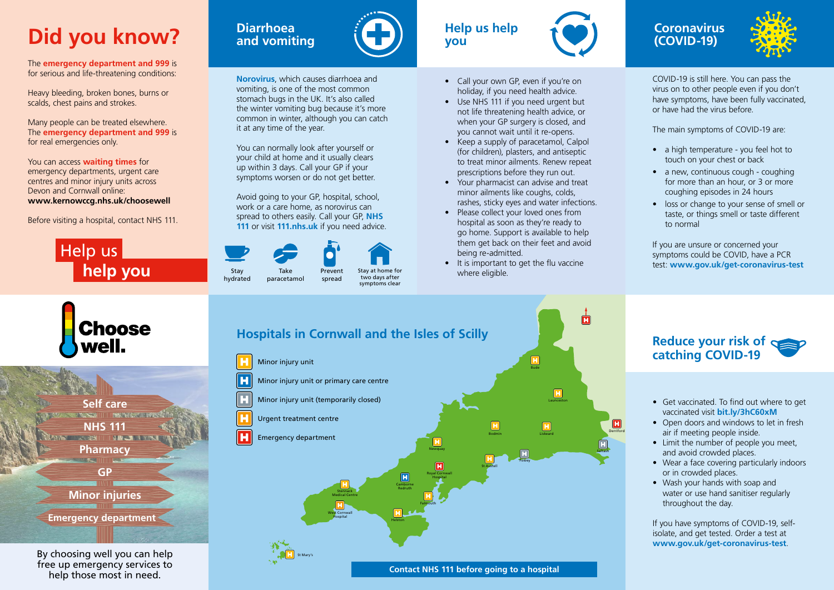# **Did you know?**

The **emergency department and 999** is for serious and life-threatening conditions:

Heavy bleeding, broken bones, burns or scalds, chest pains and strokes.

Many people can be treated elsewhere. The **emergency department and 999** is for real emergencies only.

You can access **waiting times** for emergency departments, urgent care centres and minor injury units across Devon and Cornwall online: **www.kernowccg.nhs.uk/choosewell**

Before visiting a hospital, contact NHS 111.



**Choose** 



## **Diarrhoea and vomiting**



#### **Norovirus**, which causes diarrhoea and vomiting, is one of the most common stomach bugs in the UK. It's also called the winter vomiting bug because it's more common in winter, although you can catch it at any time of the year.

You can normally look after yourself or your child at home and it usually clears up within 3 days. Call your GP if your symptoms worsen or do not get better.

Avoid going to your GP, hospital, school, work or a care home, as norovirus can spread to others easily. Call your GP, **NHS 111** or visit **[111.nhs.uk](http://111.nhs.uk)** if you need advice.



hydrated

paracetamol



spread

Stay at home for two days after

symptoms clear





- a high temperature you feel hot to touch on your chest or back
- a new, continuous cough coughing for more than an hour, or 3 or more coughing episodes in 24 hours
- loss or change to your sense of smell or taste, or things smell or taste different to normal
- Call your own GP, even if you're on holiday, if you need health advice.
- Use NHS 111 if you need urgent but not life threatening health advice, or when your GP surgery is closed, and you cannot wait until it re-opens.
- Keep a supply of paracetamol, Calpol (for children), plasters, and antiseptic to treat minor ailments. Renew repeat prescriptions before they run out.
- Your pharmacist can advise and treat minor ailments like coughs, colds, rashes, sticky eyes and water infections.
- Please collect your loved ones from hospital as soon as they're ready to go home. Support is available to help them get back on their feet and avoid being re-admitted.
- It is important to get the flu vaccine where eligible.

## **Coronavirus (COVID-19)**



COVID-19 is still here. You can pass the virus on to other people even if you don't have symptoms, have been fully vaccinated, or have had the virus before.

The main symptoms of COVID-19 are:

If you are unsure or concerned your symptoms could be COVID, have a PCR test: **www.gov.uk/get-coronavirus-test**



By choosing well you can help free up emergency services to help those most in need.



## **Reduce your risk of catching COVID-19**

- Get vaccinated. To find out where to get vaccinated visit **bit.ly/3hC60xM**
- Open doors and windows to let in fresh air if meeting people inside.
- Limit the number of people you meet, and avoid crowded places.
- Wear a face covering particularly indoors or in crowded places.
- Wash your hands with soap and water or use hand sanitiser regularly throughout the day.

If you have symptoms of COVID-19, selfisolate, and get tested. Order a test at **www.gov.uk/get-coronavirus-test**.